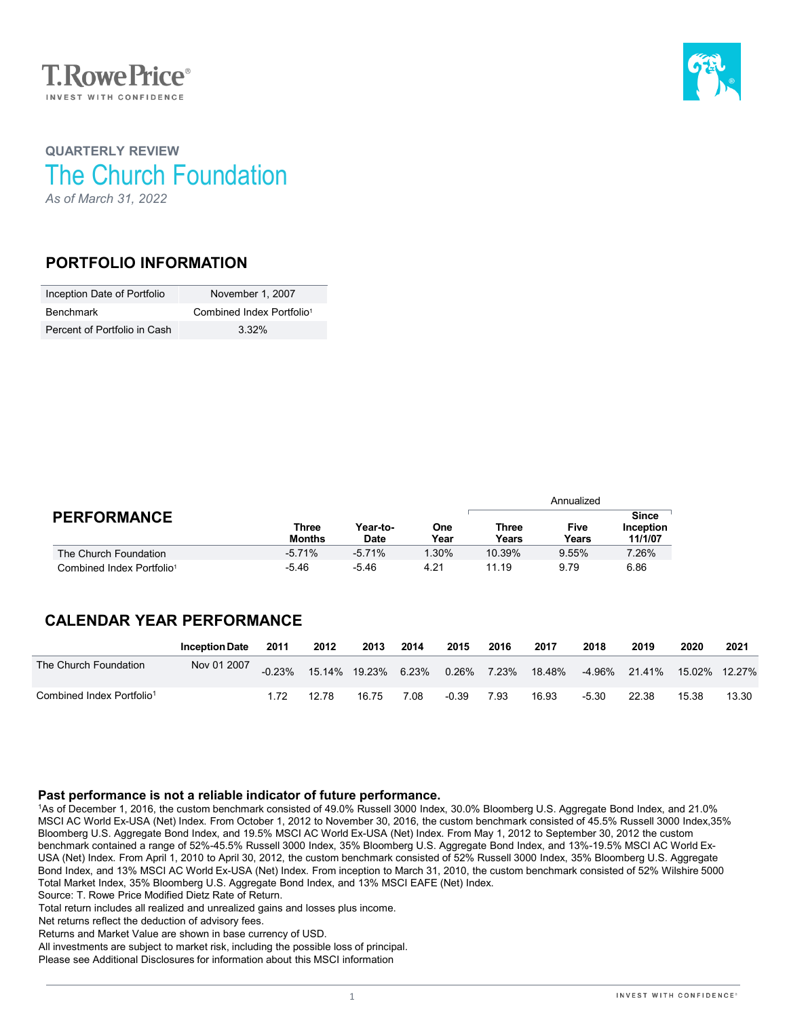



# **QUARTERLY REVIEW** The Church Foundation *As of March 31, 2022*

### **PORTFOLIO INFORMATION**

| Inception Date of Portfolio  | November 1, 2007                      |
|------------------------------|---------------------------------------|
| Benchmark                    | Combined Index Portfolio <sup>1</sup> |
| Percent of Portfolio in Cash | $3.32\%$                              |

|                                       |                        | Year-to-<br><b>Date</b> | One<br>Year | Annualized     |                      |                                      |  |
|---------------------------------------|------------------------|-------------------------|-------------|----------------|----------------------|--------------------------------------|--|
| <b>PERFORMANCE</b>                    | Three<br><b>Months</b> |                         |             | Three<br>Years | <b>Five</b><br>Years | <b>Since</b><br>Inception<br>11/1/07 |  |
| The Church Foundation                 | $-5.71%$               | $-5.71%$                | 1.30%       | 10.39%         | 9.55%                | 7.26%                                |  |
| Combined Index Portfolio <sup>1</sup> | $-5.46$                | -5.46                   | 4.21        | 11.19          | 9.79                 | 6.86                                 |  |

## **CALENDAR YEAR PERFORMANCE**

|                                       | <b>Inception Date</b> | 2011     | 2012  | 2013                | 2014 | 2015        | 2016 | 2017   | 2018   | 2019                   | 2020  | 2021  |
|---------------------------------------|-----------------------|----------|-------|---------------------|------|-------------|------|--------|--------|------------------------|-------|-------|
| The Church Foundation                 | Nov 01 2007           | $-0.23%$ |       | 15.14% 19.23% 6.23% |      | 0.26% 7.23% |      | 18.48% | -4.96% | 21.41%  15.02%  12.27% |       |       |
| Combined Index Portfolio <sup>1</sup> |                       |          | 12.78 | 16.75               | 7.08 | $-0.39$     | 7.93 | 16.93  | -5.30  | 22.38                  | 15.38 | 13.30 |

### **Past performance is not a reliable indicator of future performance.**

1As of December 1, 2016, the custom benchmark consisted of 49.0% Russell 3000 Index, 30.0% Bloomberg U.S. Aggregate Bond Index, and 21.0% MSCI AC World Ex-USA (Net) Index. From October 1, 2012 to November 30, 2016, the custom benchmark consisted of 45.5% Russell 3000 Index,35% Bloomberg U.S. Aggregate Bond Index, and 19.5% MSCI AC World Ex-USA (Net) Index. From May 1, 2012 to September 30, 2012 the custom benchmark contained a range of 52%-45.5% Russell 3000 Index, 35% Bloomberg U.S. Aggregate Bond Index, and 13%-19.5% MSCI AC World Ex-USA (Net) Index. From April 1, 2010 to April 30, 2012, the custom benchmark consisted of 52% Russell 3000 Index, 35% Bloomberg U.S. Aggregate Bond Index, and 13% MSCI AC World Ex-USA (Net) Index. From inception to March 31, 2010, the custom benchmark consisted of 52% Wilshire 5000 Total Market Index, 35% Bloomberg U.S. Aggregate Bond Index, and 13% MSCI EAFE (Net) Index. Source: T. Rowe Price Modified Dietz Rate of Return.

Total return includes all realized and unrealized gains and losses plus income.

Net returns reflect the deduction of advisory fees.

Returns and Market Value are shown in base currency of USD.

All investments are subject to market risk, including the possible loss of principal.

Please see Additional Disclosures for information about this MSCI information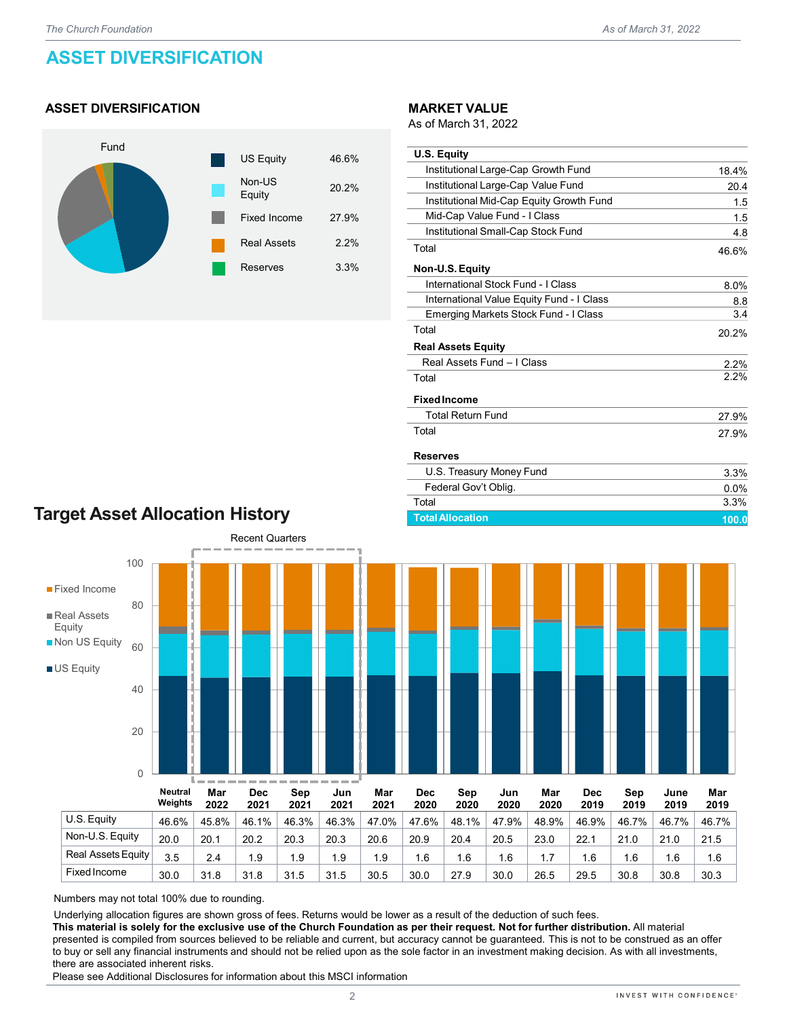# **ASSET DIVERSIFICATION**

### **ASSET DIVERSIFICATION**



#### **MARKET VALUE**

As of March 31, 2022

| <b>U.S. Equity</b>                        |       |
|-------------------------------------------|-------|
| Institutional Large-Cap Growth Fund       | 18.4% |
| Institutional Large-Cap Value Fund        | 20.4  |
| Institutional Mid-Cap Equity Growth Fund  | 1.5   |
| Mid-Cap Value Fund - I Class              | 1.5   |
| Institutional Small-Cap Stock Fund        | 4.8   |
| Total                                     | 46.6% |
| Non-U.S. Equity                           |       |
| International Stock Fund - I Class        | 8.0%  |
| International Value Equity Fund - I Class | 8.8   |
| Emerging Markets Stock Fund - I Class     | 3.4   |
| Total                                     | 20.2% |
| <b>Real Assets Equity</b>                 |       |
| Real Assets Fund - I Class                | 2.2%  |
| Total                                     | 2.2%  |
| <b>Fixed Income</b>                       |       |
| <b>Total Return Fund</b>                  | 27.9% |
| Total                                     | 27.9% |
| <b>Reserves</b>                           |       |
| U.S. Treasury Money Fund                  | 3.3%  |
| Federal Gov't Oblig.                      | 0.0%  |
| Total                                     | 3.3%  |

## **Target Asset Allocation History**



Numbers may not total 100% due to rounding.

Underlying allocation figures are shown gross of fees. Returns would be lower as a result of the deduction of such fees.

**This material is solely for the exclusive use of the Church Foundation as per their request. Not for further distribution.** All material presented is compiled from sources believed to be reliable and current, but accuracy cannot be guaranteed. This is not to be construed as an offer to buy or sell any financial instruments and should not be relied upon as the sole factor in an investment making decision. As with all investments, there are associated inherent risks.

Fixed Income 30.0 31.8 31.8 31.5 31.5 30.5 30.0 27.9 30.0 26.5 29.5 30.8 30.8 30.3

Please see Additional Disclosures for information about this MSCI information